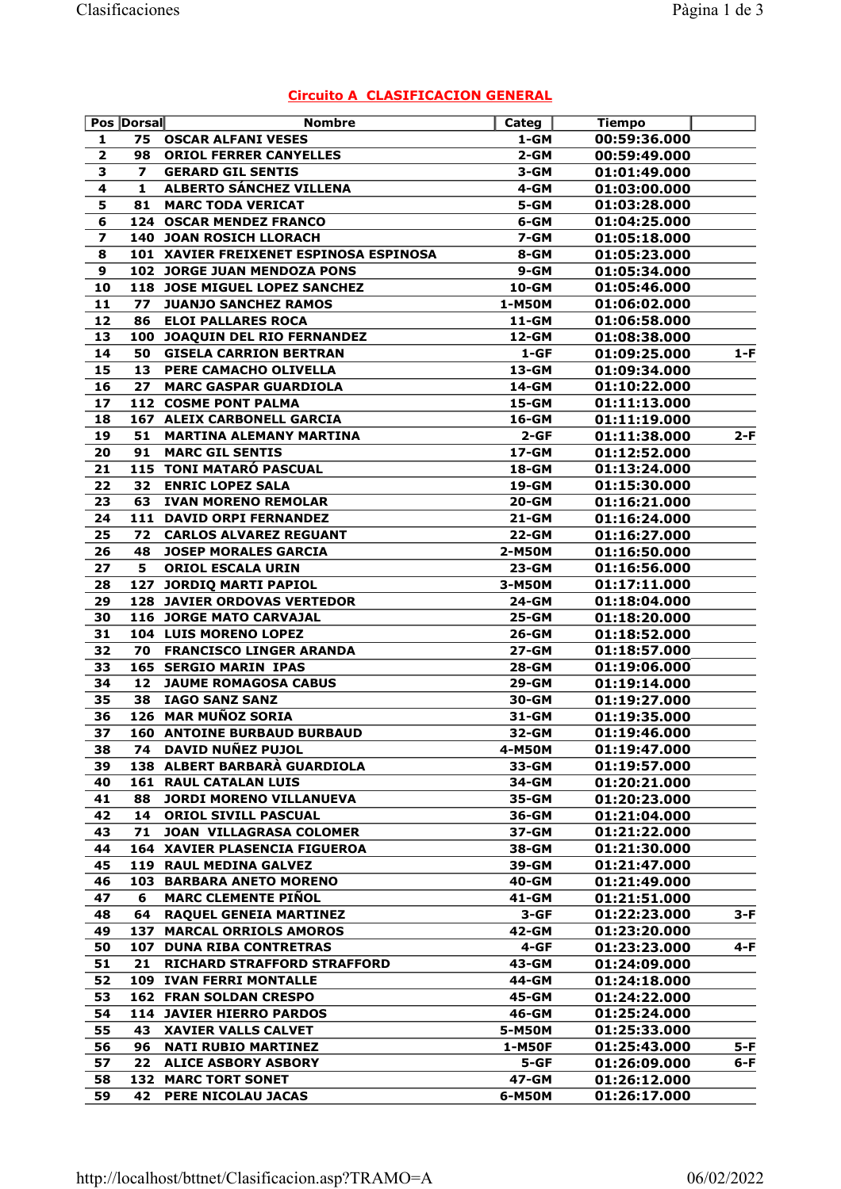|  | <b>Circuito A CLASIFICACION GENERAL</b> |  |
|--|-----------------------------------------|--|
|--|-----------------------------------------|--|

|                         | Pos Dorsal              | <b>Nombre</b>                          | Categ     | <b>Tiempo</b> |       |
|-------------------------|-------------------------|----------------------------------------|-----------|---------------|-------|
| 1                       | 75                      | <b>OSCAR ALFANI VESES</b>              | 1-GM      | 00:59:36.000  |       |
| $\mathbf{2}$            | 98                      | <b>ORIOL FERRER CANYELLES</b>          | $2 - GM$  | 00:59:49.000  |       |
| 3                       | $\overline{\mathbf{z}}$ | <b>GERARD GIL SENTIS</b>               | 3-GM      | 01:01:49.000  |       |
| 4                       | $\mathbf{1}$            | ALBERTO SÁNCHEZ VILLENA                | 4-GM      | 01:03:00.000  |       |
| 5                       | 81                      | <b>MARC TODA VERICAT</b>               | 5-GM      | 01:03:28.000  |       |
| 6                       |                         | 124 OSCAR MENDEZ FRANCO                | 6-GM      | 01:04:25.000  |       |
| $\overline{\mathbf{z}}$ |                         | <b>140 JOAN ROSICH LLORACH</b>         | 7-GM      | 01:05:18.000  |       |
| 8                       |                         | 101 XAVIER FREIXENET ESPINOSA ESPINOSA | 8-GM      | 01:05:23.000  |       |
| 9                       |                         | 102 JORGE JUAN MENDOZA PONS            | $9 - GM$  | 01:05:34.000  |       |
| 10                      |                         | 118 JOSE MIGUEL LOPEZ SANCHEZ          | 10-GM     | 01:05:46.000  |       |
| 11                      | 77                      | <b>JUANJO SANCHEZ RAMOS</b>            | 1-M50M    | 01:06:02.000  |       |
| 12                      | 86                      | <b>ELOI PALLARES ROCA</b>              | 11-GM     | 01:06:58.000  |       |
| 13                      | 100                     | JOAQUIN DEL RIO FERNANDEZ              | 12-GM     | 01:08:38.000  |       |
| 14                      | 50                      | <b>GISELA CARRION BERTRAN</b>          | $1 - GF$  | 01:09:25.000  | 1-F   |
| 15                      | 13                      | PERE CAMACHO OLIVELLA                  | 13-GM     | 01:09:34.000  |       |
| 16                      | 27                      | <b>MARC GASPAR GUARDIOLA</b>           | 14-GM     | 01:10:22.000  |       |
| 17                      |                         | <b>112 COSME PONT PALMA</b>            | 15-GM     | 01:11:13.000  |       |
| 18                      |                         | <b>167 ALEIX CARBONELL GARCIA</b>      | 16-GM     | 01:11:19.000  |       |
| 19                      | 51                      | <b>MARTINA ALEMANY MARTINA</b>         | $2 - GF$  | 01:11:38.000  | $2-F$ |
| 20                      | 91                      | <b>MARC GIL SENTIS</b>                 | 17-GM     | 01:12:52.000  |       |
|                         |                         |                                        |           |               |       |
| 21                      |                         | 115 TONI MATARÓ PASCUAL                | 18-GM     | 01:13:24.000  |       |
| 22                      | 32                      | <b>ENRIC LOPEZ SALA</b>                | 19-GM     | 01:15:30.000  |       |
| 23                      | 63                      | <b>IVAN MORENO REMOLAR</b>             | 20-GM     | 01:16:21.000  |       |
| 24                      |                         | 111 DAVID ORPI FERNANDEZ               | $21 - GM$ | 01:16:24.000  |       |
| 25                      | 72                      | <b>CARLOS ALVAREZ REGUANT</b>          | 22-GM     | 01:16:27.000  |       |
| 26                      | 48                      | <b>JOSEP MORALES GARCIA</b>            | 2-M50M    | 01:16:50.000  |       |
| 27                      | 5                       | <b>ORIOL ESCALA URIN</b>               | 23-GM     | 01:16:56.000  |       |
| 28                      |                         | 127 JORDIQ MARTI PAPIOL                | 3-M50M    | 01:17:11.000  |       |
| 29                      |                         | <b>128 JAVIER ORDOVAS VERTEDOR</b>     | 24-GM     | 01:18:04.000  |       |
| 30                      |                         | 116 JORGE MATO CARVAJAL                | 25-GM     | 01:18:20.000  |       |
| 31                      |                         | 104 LUIS MORENO LOPEZ                  | 26-GM     | 01:18:52.000  |       |
| 32                      | 70                      | <b>FRANCISCO LINGER ARANDA</b>         | 27-GM     | 01:18:57.000  |       |
| 33                      |                         | 165 SERGIO MARIN IPAS                  | 28-GM     | 01:19:06.000  |       |
| 34                      | 12                      | <b>JAUME ROMAGOSA CABUS</b>            | 29-GM     | 01:19:14.000  |       |
| 35                      | 38                      | <b>IAGO SANZ SANZ</b>                  | 30-GM     | 01:19:27.000  |       |
| 36                      |                         | 126 MAR MUÑOZ SORIA                    | 31-GM     | 01:19:35.000  |       |
| 37                      |                         | <b>160 ANTOINE BURBAUD BURBAUD</b>     | 32-GM     | 01:19:46.000  |       |
| 38                      | 74.                     | <b>DAVID NUÑEZ PUJOL</b>               | 4-M50M    | 01:19:47.000  |       |
| 39                      |                         | 138 ALBERT BARBARÀ GUARDIOLA           | 33-GM     | 01:19:57.000  |       |
| 40                      | 161                     | <b>RAUL CATALAN LUIS</b>               | 34-GM     | 01:20:21.000  |       |
| 41                      | 88                      | <b>JORDI MORENO VILLANUEVA</b>         | 35-GM     | 01:20:23.000  |       |
| 42                      | 14                      | ORIOL SIVILL PASCUAL                   | 36-GM     | 01:21:04.000  |       |
| 43                      | 71                      | <b>JOAN VILLAGRASA COLOMER</b>         | 37-GM     | 01:21:22.000  |       |
| 44                      |                         | 164 XAVIER PLASENCIA FIGUEROA          | 38-GM     | 01:21:30.000  |       |
| 45                      |                         | 119 RAUL MEDINA GALVEZ                 | 39-GM     | 01:21:47.000  |       |
| 46                      |                         | <b>103 BARBARA ANETO MORENO</b>        | 40-GM     | 01:21:49.000  |       |
| 47                      | 6                       | <b>MARC CLEMENTE PIÑOL</b>             | 41-GM     | 01:21:51.000  |       |
| 48                      | 64                      | <b>RAQUEL GENEIA MARTINEZ</b>          | $3 - GF$  | 01:22:23.000  | $3-F$ |
| 49                      | 137                     | <b>MARCAL ORRIOLS AMOROS</b>           | 42-GM     | 01:23:20.000  |       |
| 50                      | 107                     | <b>DUNA RIBA CONTRETRAS</b>            | 4-GF      | 01:23:23.000  | $4-F$ |
| 51                      | 21                      | <b>RICHARD STRAFFORD STRAFFORD</b>     | 43-GM     | 01:24:09.000  |       |
| 52                      |                         | <b>109 IVAN FERRI MONTALLE</b>         | 44-GM     | 01:24:18.000  |       |
| 53                      |                         |                                        | 45-GM     |               |       |
|                         |                         | <b>162 FRAN SOLDAN CRESPO</b>          |           | 01:24:22.000  |       |
| 54                      |                         | 114 JAVIER HIERRO PARDOS               | 46-GM     | 01:25:24.000  |       |
| 55                      | 43                      | <b>XAVIER VALLS CALVET</b>             | 5-M50M    | 01:25:33.000  |       |
| 56                      | 96                      | <b>NATI RUBIO MARTINEZ</b>             | 1-M50F    | 01:25:43.000  | 5-F   |
| 57                      | 22                      | <b>ALICE ASBORY ASBORY</b>             | $5 - GF$  | 01:26:09.000  | 6-F   |
| 58                      | 132                     | <b>MARC TORT SONET</b>                 | 47-GM     | 01:26:12.000  |       |
| 59                      | 42                      | PERE NICOLAU JACAS                     | 6-M50M    | 01:26:17.000  |       |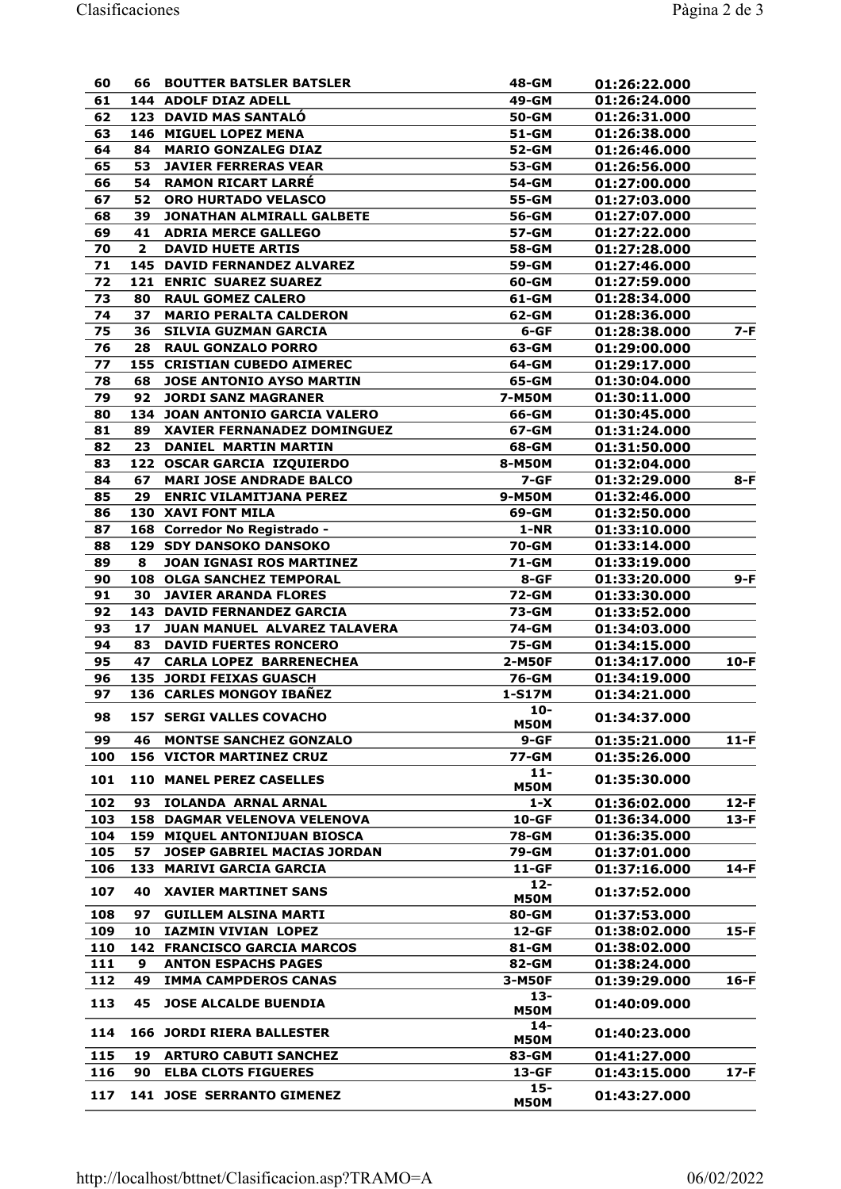| 60  | 66 -                    | <b>BOUTTER BATSLER BATSLER</b>      | 48-GM                 | 01:26:22.000 |        |
|-----|-------------------------|-------------------------------------|-----------------------|--------------|--------|
| 61  |                         | 144 ADOLF DIAZ ADELL                | 49-GM                 | 01:26:24.000 |        |
| 62  |                         | <b>123 DAVID MAS SANTALO</b>        | 50-GM                 | 01:26:31.000 |        |
| 63  |                         | 146 MIGUEL LOPEZ MENA               | 51-GM                 | 01:26:38.000 |        |
| 64  | 84                      | <b>MARIO GONZALEG DIAZ</b>          | 52-GM                 | 01:26:46.000 |        |
| 65  | 53                      | <b>JAVIER FERRERAS VEAR</b>         | 53-GM                 | 01:26:56.000 |        |
| 66  | 54                      | <b>RAMON RICART LARRE</b>           | 54-GM                 | 01:27:00.000 |        |
| 67  | 52                      | ORO HURTADO VELASCO                 | 55-GM                 | 01:27:03.000 |        |
| 68  | 39                      | <b>JONATHAN ALMIRALL GALBETE</b>    | 56-GM                 | 01:27:07.000 |        |
| 69  | 41                      | <b>ADRIA MERCE GALLEGO</b>          | 57-GM                 | 01:27:22.000 |        |
| 70  | $\overline{\mathbf{2}}$ | <b>DAVID HUETE ARTIS</b>            | 58-GM                 | 01:27:28.000 |        |
| 71  |                         | <b>145 DAVID FERNANDEZ ALVAREZ</b>  | 59-GM                 | 01:27:46.000 |        |
| 72  |                         | <b>121 ENRIC SUAREZ SUAREZ</b>      | 60-GM                 | 01:27:59.000 |        |
| 73  | 80                      | <b>RAUL GOMEZ CALERO</b>            | 61-GM                 | 01:28:34.000 |        |
| 74  | 37                      | <b>MARIO PERALTA CALDERON</b>       | 62-GM                 | 01:28:36.000 |        |
| 75  | 36                      | <b>SILVIA GUZMAN GARCIA</b>         | 6-GF                  | 01:28:38.000 | 7-F    |
| 76  | 28                      | <b>RAUL GONZALO PORRO</b>           | 63-GM                 | 01:29:00.000 |        |
| 77  |                         | <b>155 CRISTIAN CUBEDO AIMEREC</b>  | 64-GM                 | 01:29:17.000 |        |
| 78  | 68                      | <b>JOSE ANTONIO AYSO MARTIN</b>     | 65-GM                 | 01:30:04.000 |        |
| 79  | 92                      | <b>JORDI SANZ MAGRANER</b>          | 7-M50M                | 01:30:11.000 |        |
| 80  |                         | 134 JOAN ANTONIO GARCIA VALERO      | 66-GM                 | 01:30:45.000 |        |
| 81  | 89                      | XAVIER FERNANADEZ DOMINGUEZ         | 67-GM                 | 01:31:24.000 |        |
| 82  | 23                      | <b>DANIEL MARTIN MARTIN</b>         | 68-GM                 | 01:31:50.000 |        |
| 83  |                         | 122 OSCAR GARCIA IZQUIERDO          | 8-M50M                | 01:32:04.000 |        |
| 84  | 67                      | <b>MARI JOSE ANDRADE BALCO</b>      | $7 - GF$              | 01:32:29.000 | 8-F    |
| 85  | 29                      | <b>ENRIC VILAMITJANA PEREZ</b>      | 9-M50M                | 01:32:46.000 |        |
| 86  |                         | <b>130 XAVI FONT MILA</b>           | 69-GM                 | 01:32:50.000 |        |
| 87  |                         | 168 Corredor No Registrado -        | $1-NR$                | 01:33:10.000 |        |
| 88  |                         | <b>129 SDY DANSOKO DANSOKO</b>      | 70-GM                 | 01:33:14.000 |        |
| 89  | 8                       | <b>JOAN IGNASI ROS MARTINEZ</b>     | 71-GM                 | 01:33:19.000 |        |
| 90  |                         | 108 OLGA SANCHEZ TEMPORAL           | 8-GF                  | 01:33:20.000 | 9-F    |
| 91  | 30                      | <b>JAVIER ARANDA FLORES</b>         | 72-GM                 | 01:33:30.000 |        |
| 92  |                         | <b>143 DAVID FERNANDEZ GARCIA</b>   | 73-GM                 | 01:33:52.000 |        |
| 93  | 17                      | <b>JUAN MANUEL ALVAREZ TALAVERA</b> | 74-GM                 | 01:34:03.000 |        |
| 94  | 83                      | <b>DAVID FUERTES RONCERO</b>        | 75-GM                 | 01:34:15.000 |        |
| 95  | 47                      | <b>CARLA LOPEZ BARRENECHEA</b>      | 2-M50F                | 01:34:17.000 | $10-F$ |
| 96  |                         | <b>135 JORDI FEIXAS GUASCH</b>      | 76-GM                 | 01:34:19.000 |        |
| 97  |                         | 136 CARLES MONGOY IBAÑEZ            | 1-S17M                | 01:34:21.000 |        |
| 98  |                         | <b>157 SERGI VALLES COVACHO</b>     | $10-$                 | 01:34:37.000 |        |
|     |                         |                                     | <b>M50M</b>           |              |        |
| 99  | 46                      | <b>MONTSE SANCHEZ GONZALO</b>       | $9-GF$                | 01:35:21.000 | $11-F$ |
| 100 |                         | <b>156 VICTOR MARTINEZ CRUZ</b>     | 77-GM                 | 01:35:26.000 |        |
| 101 |                         | <b>110 MANEL PEREZ CASELLES</b>     | $11 -$                | 01:35:30.000 |        |
|     |                         |                                     | <b>M50M</b>           |              |        |
| 102 | 93                      | <b>IOLANDA ARNAL ARNAL</b>          | $1-X$                 | 01:36:02.000 | $12-F$ |
| 103 |                         | <b>158 DAGMAR VELENOVA VELENOVA</b> | $10-GF$               | 01:36:34.000 | $13-F$ |
| 104 |                         | 159 MIQUEL ANTONIJUAN BIOSCA        | 78-GM                 | 01:36:35.000 |        |
| 105 | 57                      | JOSEP GABRIEL MACIAS JORDAN         | 79-GM                 | 01:37:01.000 |        |
| 106 |                         | 133 MARIVI GARCIA GARCIA            | $11-GF$               | 01:37:16.000 | $14-F$ |
| 107 | 40                      | <b>XAVIER MARTINET SANS</b>         | $12 -$<br><b>M50M</b> | 01:37:52.000 |        |
| 108 | 97                      | <b>GUILLEM ALSINA MARTI</b>         | 80-GM                 | 01:37:53.000 |        |
| 109 | 10                      | IAZMIN VIVIAN LOPEZ                 | 12-GF                 | 01:38:02.000 | $15-F$ |
| 110 |                         | <b>142 FRANCISCO GARCIA MARCOS</b>  | 81-GM                 | 01:38:02.000 |        |
| 111 | 9                       | <b>ANTON ESPACHS PAGES</b>          | 82-GM                 | 01:38:24.000 |        |
| 112 | 49                      | <b>IMMA CAMPDEROS CANAS</b>         | 3-M50F                | 01:39:29.000 | $16-F$ |
|     |                         |                                     | $13 -$                |              |        |
| 113 | 45                      | <b>JOSE ALCALDE BUENDIA</b>         | <b>M50M</b>           | 01:40:09.000 |        |
|     |                         |                                     | $14-$                 |              |        |
| 114 |                         | <b>166 JORDI RIERA BALLESTER</b>    | <b>M50M</b>           | 01:40:23.000 |        |
| 115 | 19                      | <b>ARTURO CABUTI SANCHEZ</b>        | 83-GM                 | 01:41:27.000 |        |
| 116 | 90                      | <b>ELBA CLOTS FIGUERES</b>          | 13-GF                 | 01:43:15.000 | $17-F$ |
| 117 |                         | <b>141 JOSE SERRANTO GIMENEZ</b>    | $15 -$                |              |        |
|     |                         |                                     | <b>M50M</b>           | 01:43:27.000 |        |